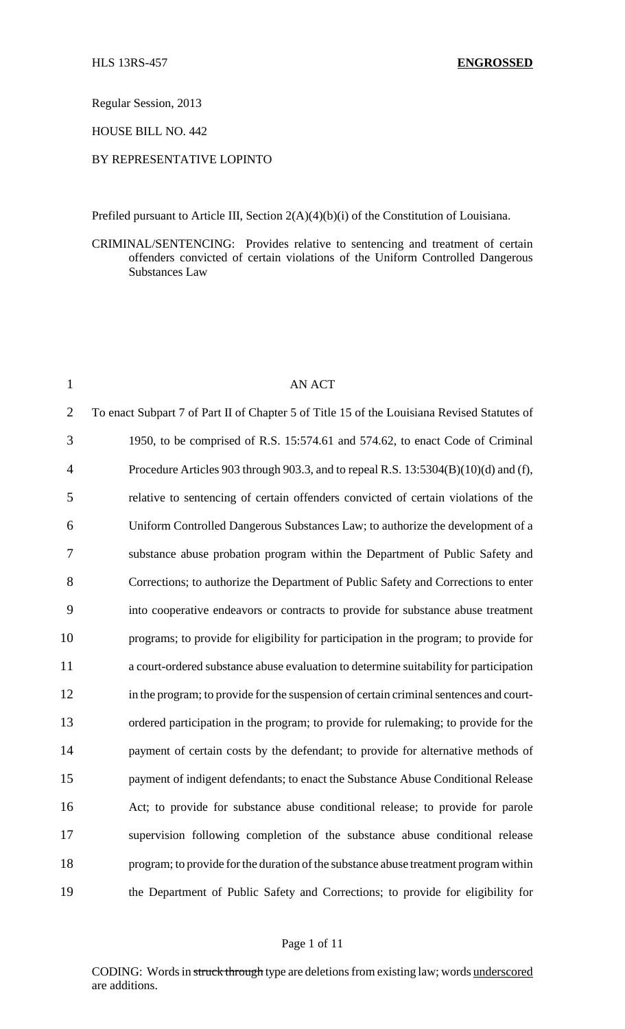Regular Session, 2013

HOUSE BILL NO. 442

# BY REPRESENTATIVE LOPINTO

Prefiled pursuant to Article III, Section 2(A)(4)(b)(i) of the Constitution of Louisiana.

CRIMINAL/SENTENCING: Provides relative to sentencing and treatment of certain offenders convicted of certain violations of the Uniform Controlled Dangerous Substances Law

| $\mathbf{1}$   | <b>AN ACT</b>                                                                               |
|----------------|---------------------------------------------------------------------------------------------|
| $\overline{2}$ | To enact Subpart 7 of Part II of Chapter 5 of Title 15 of the Louisiana Revised Statutes of |
| 3              | 1950, to be comprised of R.S. 15:574.61 and 574.62, to enact Code of Criminal               |
| 4              | Procedure Articles 903 through 903.3, and to repeal R.S. 13:5304(B)(10)(d) and (f),         |
| 5              | relative to sentencing of certain offenders convicted of certain violations of the          |
| 6              | Uniform Controlled Dangerous Substances Law; to authorize the development of a              |
| 7              | substance abuse probation program within the Department of Public Safety and                |
| 8              | Corrections; to authorize the Department of Public Safety and Corrections to enter          |
| 9              | into cooperative endeavors or contracts to provide for substance abuse treatment            |
| 10             | programs; to provide for eligibility for participation in the program; to provide for       |
| 11             | a court-ordered substance abuse evaluation to determine suitability for participation       |
| 12             | in the program; to provide for the suspension of certain criminal sentences and court-      |
| 13             | ordered participation in the program; to provide for rulemaking; to provide for the         |
| 14             | payment of certain costs by the defendant; to provide for alternative methods of            |
| 15             | payment of indigent defendants; to enact the Substance Abuse Conditional Release            |
| 16             | Act; to provide for substance abuse conditional release; to provide for parole              |
| 17             | supervision following completion of the substance abuse conditional release                 |
| 18             | program; to provide for the duration of the substance abuse treatment program within        |
| 19             | the Department of Public Safety and Corrections; to provide for eligibility for             |
|                |                                                                                             |

# Page 1 of 11

CODING: Words in struck through type are deletions from existing law; words underscored are additions.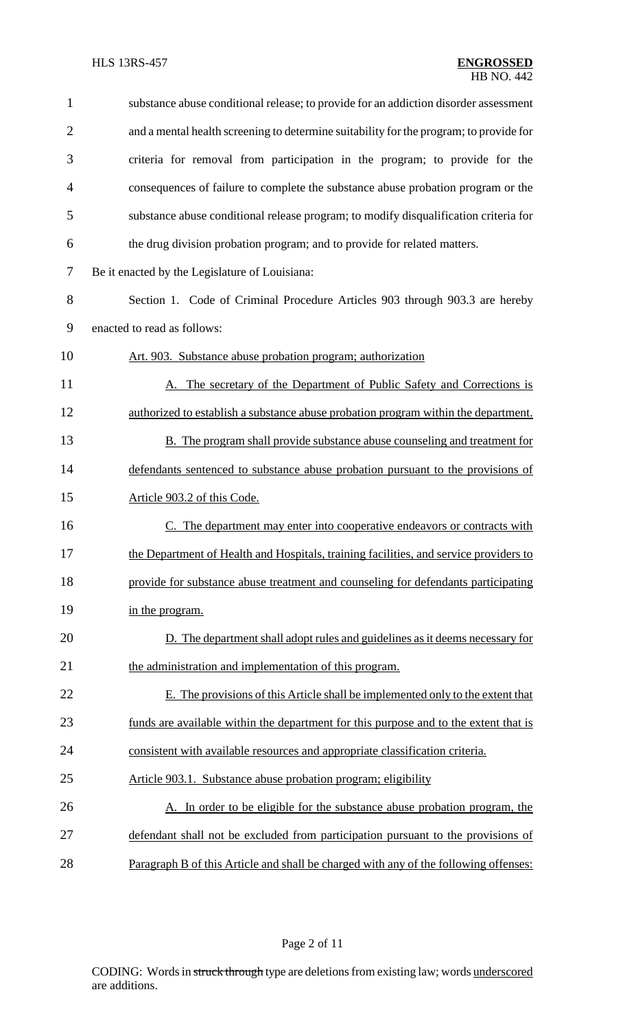| $\mathbf{1}$   | substance abuse conditional release; to provide for an addiction disorder assessment   |
|----------------|----------------------------------------------------------------------------------------|
| $\overline{2}$ | and a mental health screening to determine suitability for the program; to provide for |
| 3              | criteria for removal from participation in the program; to provide for the             |
| $\overline{4}$ | consequences of failure to complete the substance abuse probation program or the       |
| 5              | substance abuse conditional release program; to modify disqualification criteria for   |
| 6              | the drug division probation program; and to provide for related matters.               |
| 7              | Be it enacted by the Legislature of Louisiana:                                         |
| 8              | Section 1. Code of Criminal Procedure Articles 903 through 903.3 are hereby            |
| 9              | enacted to read as follows:                                                            |
| 10             | Art. 903. Substance abuse probation program; authorization                             |
| 11             | A. The secretary of the Department of Public Safety and Corrections is                 |
| 12             | authorized to establish a substance abuse probation program within the department.     |
| 13             | <b>B.</b> The program shall provide substance abuse counseling and treatment for       |
| 14             | defendants sentenced to substance abuse probation pursuant to the provisions of        |
| 15             | Article 903.2 of this Code.                                                            |
| 16             | C. The department may enter into cooperative endeavors or contracts with               |
| 17             | the Department of Health and Hospitals, training facilities, and service providers to  |
| 18             | provide for substance abuse treatment and counseling for defendants participating      |
| 19             | in the program.                                                                        |
| 20             | D. The department shall adopt rules and guidelines as it deems necessary for           |
| 21             | the administration and implementation of this program.                                 |
| 22             | E. The provisions of this Article shall be implemented only to the extent that         |
| 23             | funds are available within the department for this purpose and to the extent that is   |
| 24             | consistent with available resources and appropriate classification criteria.           |
| 25             | Article 903.1. Substance abuse probation program; eligibility                          |
| 26             | A. In order to be eligible for the substance abuse probation program, the              |
| 27             | defendant shall not be excluded from participation pursuant to the provisions of       |
| 28             | Paragraph B of this Article and shall be charged with any of the following offenses:   |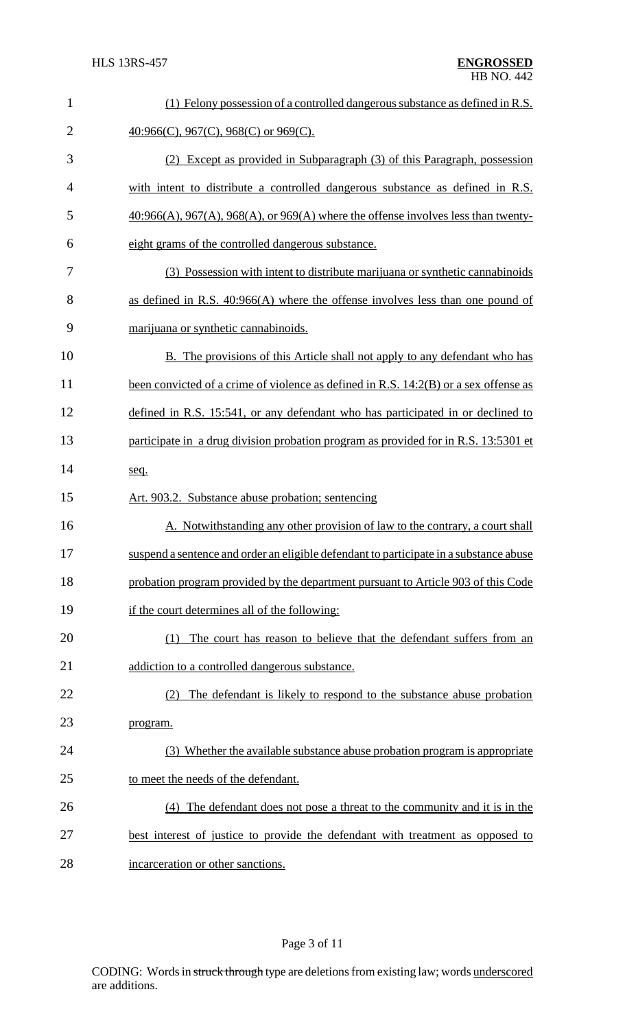| $\mathbf{1}$   | (1) Felony possession of a controlled dangerous substance as defined in R.S.                 |
|----------------|----------------------------------------------------------------------------------------------|
| $\overline{2}$ | $40:966(C)$ , 967(C), 968(C) or 969(C).                                                      |
| 3              | (2) Except as provided in Subparagraph (3) of this Paragraph, possession                     |
| 4              | with intent to distribute a controlled dangerous substance as defined in R.S.                |
| 5              | $40:966(A)$ , $967(A)$ , $968(A)$ , or $969(A)$ where the offense involves less than twenty- |
| 6              | eight grams of the controlled dangerous substance.                                           |
| 7              | (3) Possession with intent to distribute marijuana or synthetic cannabinoids                 |
| 8              | as defined in R.S. $40:966(A)$ where the offense involves less than one pound of             |
| 9              | marijuana or synthetic cannabinoids.                                                         |
| 10             | B. The provisions of this Article shall not apply to any defendant who has                   |
| 11             | been convicted of a crime of violence as defined in R.S. 14:2(B) or a sex offense as         |
| 12             | defined in R.S. 15:541, or any defendant who has participated in or declined to              |
| 13             | participate in a drug division probation program as provided for in R.S. 13:5301 et          |
| 14             | seq.                                                                                         |
| 15             | Art. 903.2. Substance abuse probation; sentencing                                            |
| 16             | A. Notwithstanding any other provision of law to the contrary, a court shall                 |
| 17             | suspend a sentence and order an eligible defendant to participate in a substance abuse       |
| 18             | probation program provided by the department pursuant to Article 903 of this Code            |
| 19             | if the court determines all of the following:                                                |
| 20             | The court has reason to believe that the defendant suffers from an<br>(1)                    |
| 21             | addiction to a controlled dangerous substance.                                               |
| 22             | The defendant is likely to respond to the substance abuse probation<br>(2)                   |
| 23             | program.                                                                                     |
| 24             | (3) Whether the available substance abuse probation program is appropriate                   |
| 25             | to meet the needs of the defendant.                                                          |
| 26             | (4) The defendant does not pose a threat to the community and it is in the                   |
| 27             | best interest of justice to provide the defendant with treatment as opposed to               |
| 28             | incarceration or other sanctions.                                                            |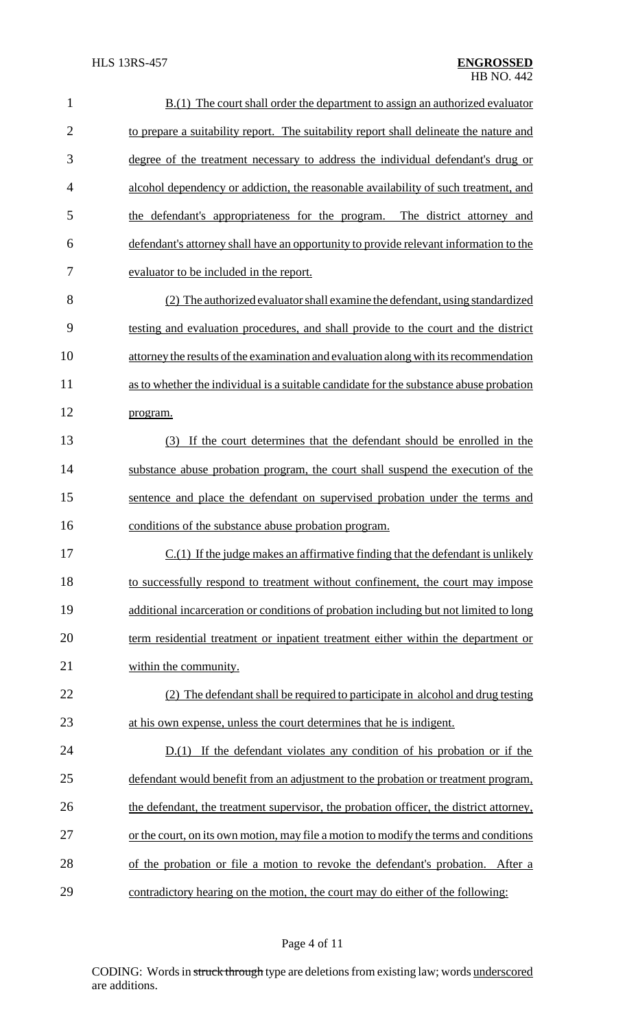| $\mathbf{1}$   | $B(1)$ The court shall order the department to assign an authorized evaluator          |
|----------------|----------------------------------------------------------------------------------------|
| $\overline{2}$ | to prepare a suitability report. The suitability report shall delineate the nature and |
| 3              | degree of the treatment necessary to address the individual defendant's drug or        |
| 4              | alcohol dependency or addiction, the reasonable availability of such treatment, and    |
| 5              | the defendant's appropriateness for the program. The district attorney and             |
| 6              | defendant's attorney shall have an opportunity to provide relevant information to the  |
| 7              | evaluator to be included in the report.                                                |
| 8              | (2) The authorized evaluator shall examine the defendant, using standardized           |
| 9              | testing and evaluation procedures, and shall provide to the court and the district     |
| 10             | attorney the results of the examination and evaluation along with its recommendation   |
| 11             | as to whether the individual is a suitable candidate for the substance abuse probation |
| 12             | program.                                                                               |
| 13             | (3) If the court determines that the defendant should be enrolled in the               |
| 14             | substance abuse probation program, the court shall suspend the execution of the        |
| 15             | sentence and place the defendant on supervised probation under the terms and           |
| 16             | conditions of the substance abuse probation program.                                   |
| 17             | $C(1)$ If the judge makes an affirmative finding that the defendant is unlikely        |
| 18             | to successfully respond to treatment without confinement, the court may impose         |
| 19             | additional incarceration or conditions of probation including but not limited to long  |
| 20             | term residential treatment or inpatient treatment either within the department or      |
| 21             | within the community.                                                                  |
| 22             | (2) The defendant shall be required to participate in alcohol and drug testing         |
| 23             | at his own expense, unless the court determines that he is indigent.                   |
| 24             | $D(1)$ If the defendant violates any condition of his probation or if the              |
| 25             | defendant would benefit from an adjustment to the probation or treatment program,      |
| 26             | the defendant, the treatment supervisor, the probation officer, the district attorney, |
| 27             | or the court, on its own motion, may file a motion to modify the terms and conditions  |
| 28             | of the probation or file a motion to revoke the defendant's probation. After a         |
| 29             | contradictory hearing on the motion, the court may do either of the following:         |

CODING: Words in struck through type are deletions from existing law; words underscored are additions.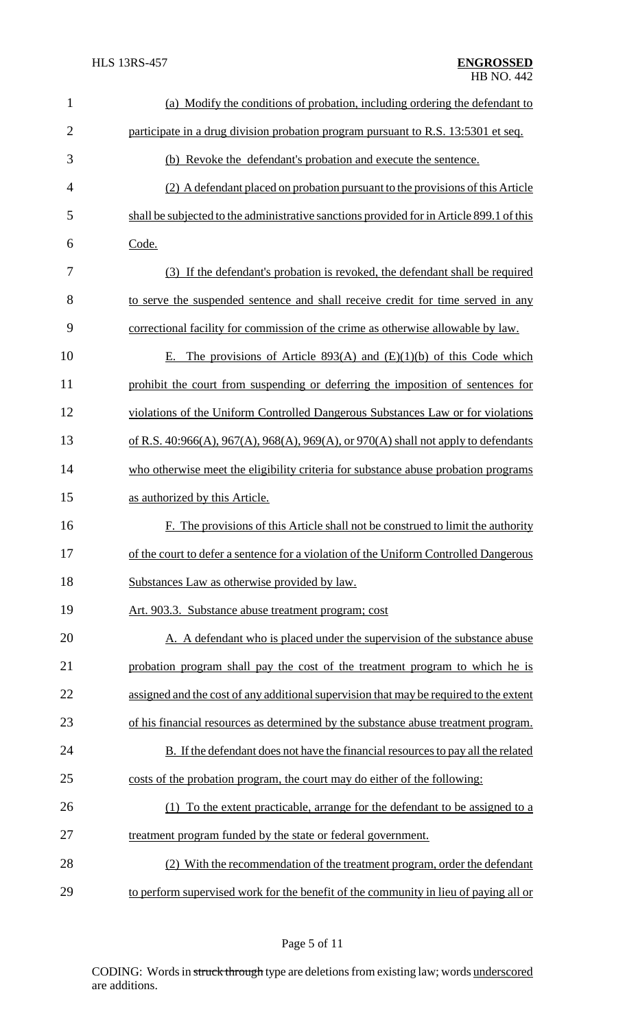| $\mathbf{1}$   | (a) Modify the conditions of probation, including ordering the defendant to              |
|----------------|------------------------------------------------------------------------------------------|
| $\overline{2}$ | participate in a drug division probation program pursuant to R.S. 13:5301 et seq.        |
| 3              | (b) Revoke the defendant's probation and execute the sentence.                           |
| $\overline{4}$ | (2) A defendant placed on probation pursuant to the provisions of this Article           |
| 5              | shall be subjected to the administrative sanctions provided for in Article 899.1 of this |
| 6              | Code.                                                                                    |
| 7              | (3) If the defendant's probation is revoked, the defendant shall be required             |
| 8              | to serve the suspended sentence and shall receive credit for time served in any          |
| 9              | correctional facility for commission of the crime as otherwise allowable by law.         |
| 10             | E. The provisions of Article 893(A) and $(E)(1)(b)$ of this Code which                   |
| 11             | prohibit the court from suspending or deferring the imposition of sentences for          |
| 12             | violations of the Uniform Controlled Dangerous Substances Law or for violations          |
| 13             | of R.S. 40:966(A), 967(A), 968(A), 969(A), or 970(A) shall not apply to defendants       |
| 14             | who otherwise meet the eligibility criteria for substance abuse probation programs       |
| 15             | as authorized by this Article.                                                           |
| 16             | F. The provisions of this Article shall not be construed to limit the authority          |
| 17             | of the court to defer a sentence for a violation of the Uniform Controlled Dangerous     |
| 18             | Substances Law as otherwise provided by law.                                             |
| 19             | Art. 903.3. Substance abuse treatment program; cost                                      |
| 20             | A. A defendant who is placed under the supervision of the substance abuse                |
| 21             | probation program shall pay the cost of the treatment program to which he is             |
| 22             | assigned and the cost of any additional supervision that may be required to the extent   |
| 23             | of his financial resources as determined by the substance abuse treatment program.       |
| 24             | B. If the defendant does not have the financial resources to pay all the related         |
| 25             | costs of the probation program, the court may do either of the following:                |
| 26             | (1) To the extent practicable, arrange for the defendant to be assigned to a             |
| 27             | treatment program funded by the state or federal government.                             |
| 28             | (2) With the recommendation of the treatment program, order the defendant                |
| 29             | to perform supervised work for the benefit of the community in lieu of paying all or     |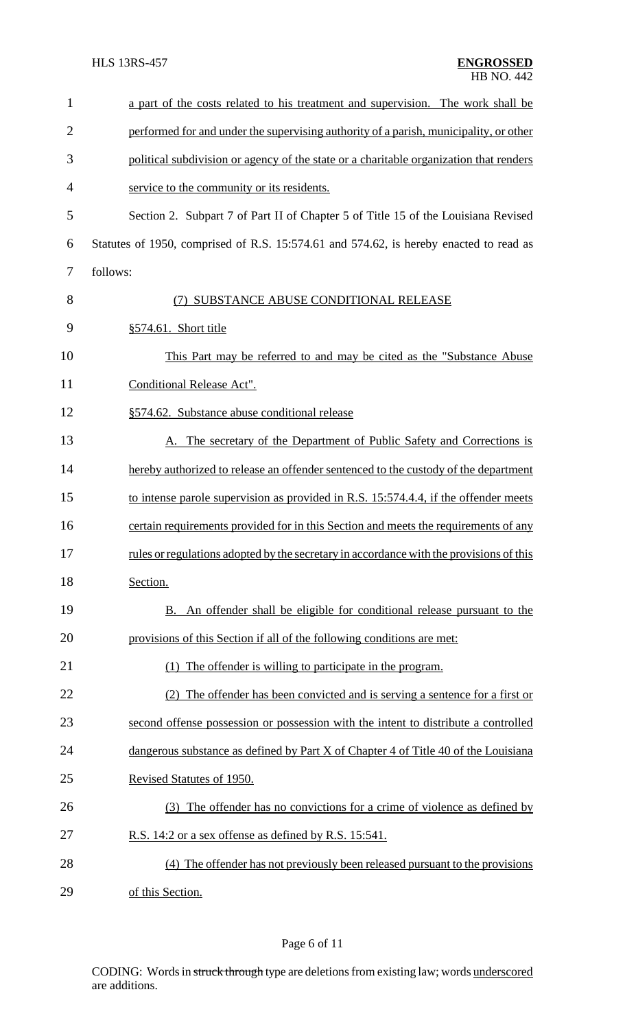| $\mathbf{1}$   | a part of the costs related to his treatment and supervision. The work shall be         |
|----------------|-----------------------------------------------------------------------------------------|
| $\overline{2}$ | performed for and under the supervising authority of a parish, municipality, or other   |
| 3              | political subdivision or agency of the state or a charitable organization that renders  |
| $\overline{4}$ | service to the community or its residents.                                              |
| 5              | Section 2. Subpart 7 of Part II of Chapter 5 of Title 15 of the Louisiana Revised       |
| 6              | Statutes of 1950, comprised of R.S. 15:574.61 and 574.62, is hereby enacted to read as  |
| 7              | follows:                                                                                |
| 8              | SUBSTANCE ABUSE CONDITIONAL RELEASE<br>(7)                                              |
| 9              | $§574.61$ . Short title                                                                 |
| 10             | This Part may be referred to and may be cited as the "Substance Abuse"                  |
| 11             | Conditional Release Act".                                                               |
| 12             | §574.62. Substance abuse conditional release                                            |
| 13             | A. The secretary of the Department of Public Safety and Corrections is                  |
| 14             | hereby authorized to release an offender sentenced to the custody of the department     |
| 15             | to intense parole supervision as provided in R.S. 15:574.4.4, if the offender meets     |
| 16             | certain requirements provided for in this Section and meets the requirements of any     |
| 17             | rules or regulations adopted by the secretary in accordance with the provisions of this |
| 18             | Section.                                                                                |
| 19             | B. An offender shall be eligible for conditional release pursuant to the                |
| 20             | provisions of this Section if all of the following conditions are met:                  |
| 21             | (1) The offender is willing to participate in the program.                              |
| 22             | (2) The offender has been convicted and is serving a sentence for a first or            |
| 23             | second offense possession or possession with the intent to distribute a controlled      |
| 24             | dangerous substance as defined by Part X of Chapter 4 of Title 40 of the Louisiana      |
| 25             | Revised Statutes of 1950.                                                               |
| 26             | (3) The offender has no convictions for a crime of violence as defined by               |
| 27             | R.S. 14:2 or a sex offense as defined by R.S. 15:541.                                   |
| 28             | (4) The offender has not previously been released pursuant to the provisions            |
| 29             | of this Section.                                                                        |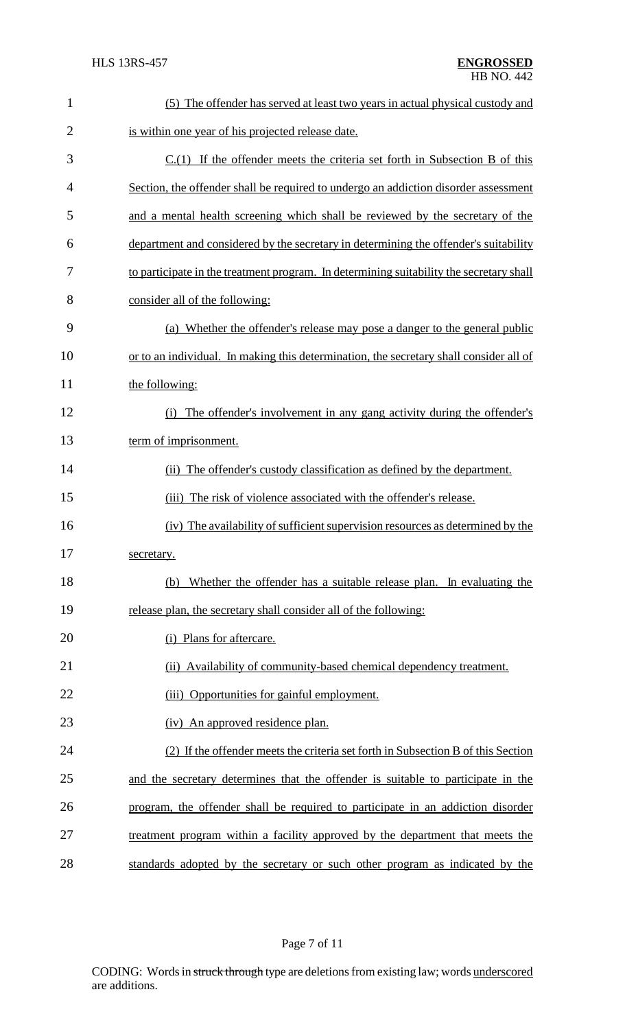| $\mathbf{1}$   | (5) The offender has served at least two years in actual physical custody and           |
|----------------|-----------------------------------------------------------------------------------------|
| $\overline{2}$ | is within one year of his projected release date.                                       |
| 3              | $C(1)$ If the offender meets the criteria set forth in Subsection B of this             |
| 4              | Section, the offender shall be required to undergo an addiction disorder assessment     |
| 5              | and a mental health screening which shall be reviewed by the secretary of the           |
| 6              | department and considered by the secretary in determining the offender's suitability    |
| 7              | to participate in the treatment program. In determining suitability the secretary shall |
| 8              | consider all of the following:                                                          |
| 9              | (a) Whether the offender's release may pose a danger to the general public              |
| 10             | or to an individual. In making this determination, the secretary shall consider all of  |
| 11             | the following:                                                                          |
| 12             | The offender's involvement in any gang activity during the offender's<br>(i)            |
| 13             | term of imprisonment.                                                                   |
| 14             | (ii) The offender's custody classification as defined by the department.                |
| 15             | The risk of violence associated with the offender's release.<br>(iii)                   |
| 16             | (iv) The availability of sufficient supervision resources as determined by the          |
| 17             | secretary.                                                                              |
| 18             | Whether the offender has a suitable release plan. In evaluating the<br>(b)              |
| 19             | release plan, the secretary shall consider all of the following:                        |
| 20             | (i) Plans for aftercare.                                                                |
| 21             | (ii) Availability of community-based chemical dependency treatment.                     |
| 22             | Opportunities for gainful employment.<br>(iii)                                          |
| 23             | (iv) An approved residence plan.                                                        |
| 24             | (2) If the offender meets the criteria set forth in Subsection B of this Section        |
| 25             | and the secretary determines that the offender is suitable to participate in the        |
| 26             | program, the offender shall be required to participate in an addiction disorder         |
| 27             | treatment program within a facility approved by the department that meets the           |
| 28             | standards adopted by the secretary or such other program as indicated by the            |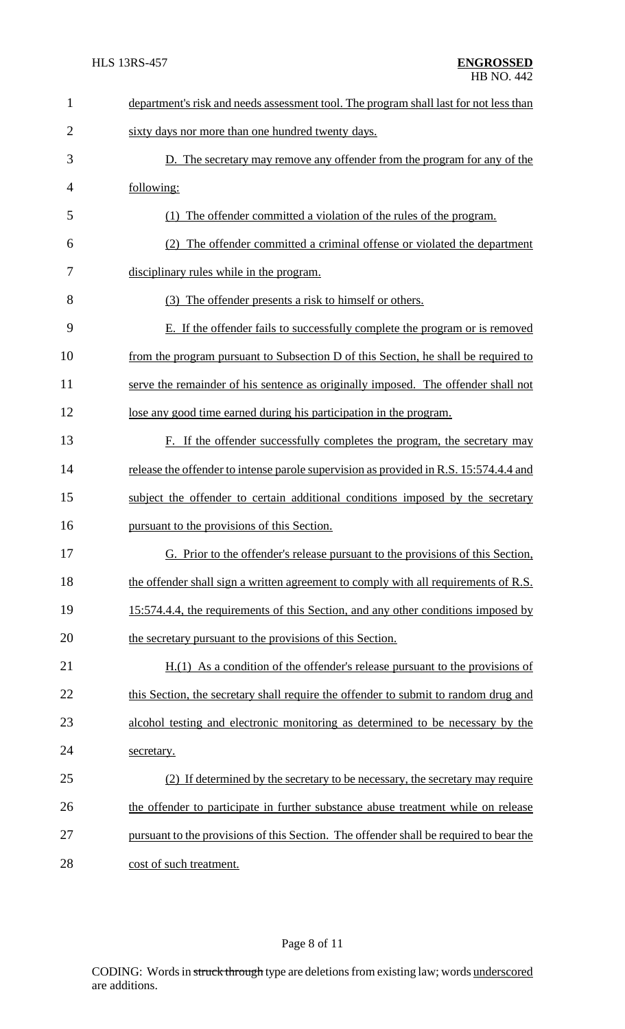| $\mathbf{1}$   | department's risk and needs assessment tool. The program shall last for not less than  |
|----------------|----------------------------------------------------------------------------------------|
| $\overline{2}$ | sixty days nor more than one hundred twenty days.                                      |
| 3              | D. The secretary may remove any offender from the program for any of the               |
| $\overline{4}$ | following:                                                                             |
| 5              | (1) The offender committed a violation of the rules of the program.                    |
| 6              | (2) The offender committed a criminal offense or violated the department               |
| 7              | disciplinary rules while in the program.                                               |
| 8              | (3) The offender presents a risk to himself or others.                                 |
| 9              | E. If the offender fails to successfully complete the program or is removed            |
| 10             | from the program pursuant to Subsection D of this Section, he shall be required to     |
| 11             | serve the remainder of his sentence as originally imposed. The offender shall not      |
| 12             | lose any good time earned during his participation in the program.                     |
| 13             | F. If the offender successfully completes the program, the secretary may               |
| 14             | release the offender to intense parole supervision as provided in R.S. 15:574.4.4 and  |
| 15             | subject the offender to certain additional conditions imposed by the secretary         |
| 16             | pursuant to the provisions of this Section.                                            |
| 17             | G. Prior to the offender's release pursuant to the provisions of this Section,         |
| 18             | the offender shall sign a written agreement to comply with all requirements of R.S.    |
| 19             | 15:574.4.4, the requirements of this Section, and any other conditions imposed by      |
| 20             | the secretary pursuant to the provisions of this Section.                              |
| 21             | $H(1)$ As a condition of the offender's release pursuant to the provisions of          |
| 22             | this Section, the secretary shall require the offender to submit to random drug and    |
| 23             | alcohol testing and electronic monitoring as determined to be necessary by the         |
| 24             | secretary.                                                                             |
| 25             | (2) If determined by the secretary to be necessary, the secretary may require          |
| 26             | the offender to participate in further substance abuse treatment while on release      |
| 27             | pursuant to the provisions of this Section. The offender shall be required to bear the |
| 28             | cost of such treatment.                                                                |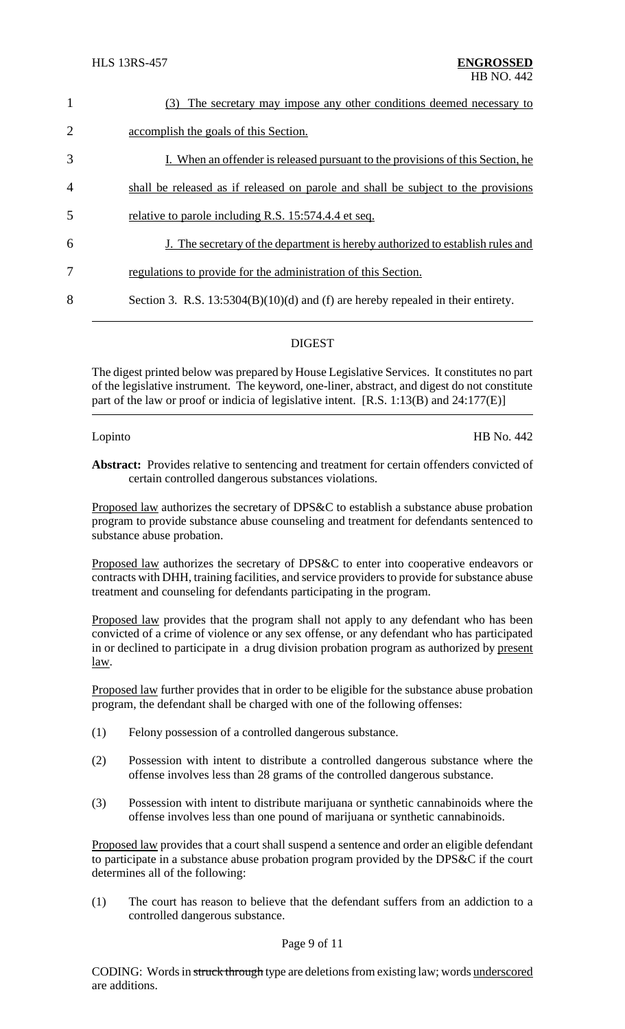| $\mathbf{1}$   | The secretary may impose any other conditions deemed necessary to<br>(3)           |
|----------------|------------------------------------------------------------------------------------|
| $\overline{2}$ | accomplish the goals of this Section.                                              |
| 3              | I. When an offender is released pursuant to the provisions of this Section, he     |
| $\overline{4}$ | shall be released as if released on parole and shall be subject to the provisions  |
| 5              | relative to parole including R.S. 15:574.4.4 et seq.                               |
| 6              | J. The secretary of the department is hereby authorized to establish rules and     |
| 7              | regulations to provide for the administration of this Section.                     |
| 8              | Section 3. R.S. $13:5304(B)(10)(d)$ and (f) are hereby repealed in their entirety. |
|                |                                                                                    |

# DIGEST

The digest printed below was prepared by House Legislative Services. It constitutes no part of the legislative instrument. The keyword, one-liner, abstract, and digest do not constitute part of the law or proof or indicia of legislative intent. [R.S. 1:13(B) and 24:177(E)]

Lopinto HB No. 442

**Abstract:** Provides relative to sentencing and treatment for certain offenders convicted of certain controlled dangerous substances violations.

Proposed law authorizes the secretary of DPS&C to establish a substance abuse probation program to provide substance abuse counseling and treatment for defendants sentenced to substance abuse probation.

Proposed law authorizes the secretary of DPS&C to enter into cooperative endeavors or contracts with DHH, training facilities, and service providers to provide for substance abuse treatment and counseling for defendants participating in the program.

Proposed law provides that the program shall not apply to any defendant who has been convicted of a crime of violence or any sex offense, or any defendant who has participated in or declined to participate in a drug division probation program as authorized by present law.

Proposed law further provides that in order to be eligible for the substance abuse probation program, the defendant shall be charged with one of the following offenses:

- (1) Felony possession of a controlled dangerous substance.
- (2) Possession with intent to distribute a controlled dangerous substance where the offense involves less than 28 grams of the controlled dangerous substance.
- (3) Possession with intent to distribute marijuana or synthetic cannabinoids where the offense involves less than one pound of marijuana or synthetic cannabinoids.

Proposed law provides that a court shall suspend a sentence and order an eligible defendant to participate in a substance abuse probation program provided by the DPS&C if the court determines all of the following:

(1) The court has reason to believe that the defendant suffers from an addiction to a controlled dangerous substance.

### Page 9 of 11

CODING: Words in struck through type are deletions from existing law; words underscored are additions.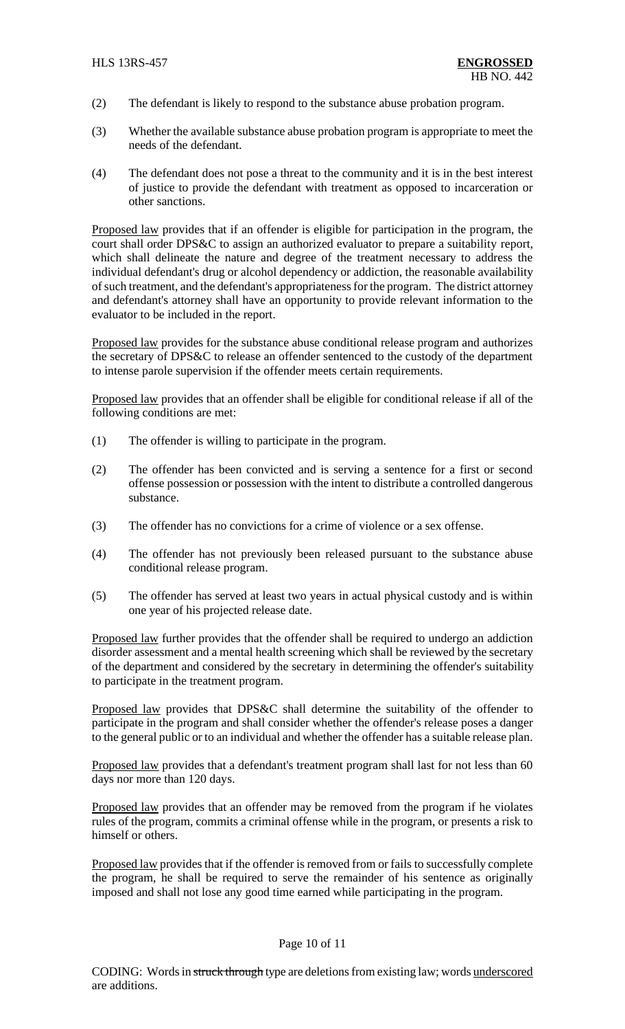- (2) The defendant is likely to respond to the substance abuse probation program.
- (3) Whether the available substance abuse probation program is appropriate to meet the needs of the defendant.
- (4) The defendant does not pose a threat to the community and it is in the best interest of justice to provide the defendant with treatment as opposed to incarceration or other sanctions.

Proposed law provides that if an offender is eligible for participation in the program, the court shall order DPS&C to assign an authorized evaluator to prepare a suitability report, which shall delineate the nature and degree of the treatment necessary to address the individual defendant's drug or alcohol dependency or addiction, the reasonable availability of such treatment, and the defendant's appropriateness for the program. The district attorney and defendant's attorney shall have an opportunity to provide relevant information to the evaluator to be included in the report.

Proposed law provides for the substance abuse conditional release program and authorizes the secretary of DPS&C to release an offender sentenced to the custody of the department to intense parole supervision if the offender meets certain requirements.

Proposed law provides that an offender shall be eligible for conditional release if all of the following conditions are met:

- (1) The offender is willing to participate in the program.
- (2) The offender has been convicted and is serving a sentence for a first or second offense possession or possession with the intent to distribute a controlled dangerous substance.
- (3) The offender has no convictions for a crime of violence or a sex offense.
- (4) The offender has not previously been released pursuant to the substance abuse conditional release program.
- (5) The offender has served at least two years in actual physical custody and is within one year of his projected release date.

Proposed law further provides that the offender shall be required to undergo an addiction disorder assessment and a mental health screening which shall be reviewed by the secretary of the department and considered by the secretary in determining the offender's suitability to participate in the treatment program.

Proposed law provides that DPS&C shall determine the suitability of the offender to participate in the program and shall consider whether the offender's release poses a danger to the general public or to an individual and whether the offender has a suitable release plan.

Proposed law provides that a defendant's treatment program shall last for not less than 60 days nor more than 120 days.

Proposed law provides that an offender may be removed from the program if he violates rules of the program, commits a criminal offense while in the program, or presents a risk to himself or others.

Proposed law provides that if the offender is removed from or fails to successfully complete the program, he shall be required to serve the remainder of his sentence as originally imposed and shall not lose any good time earned while participating in the program.

# Page 10 of 11